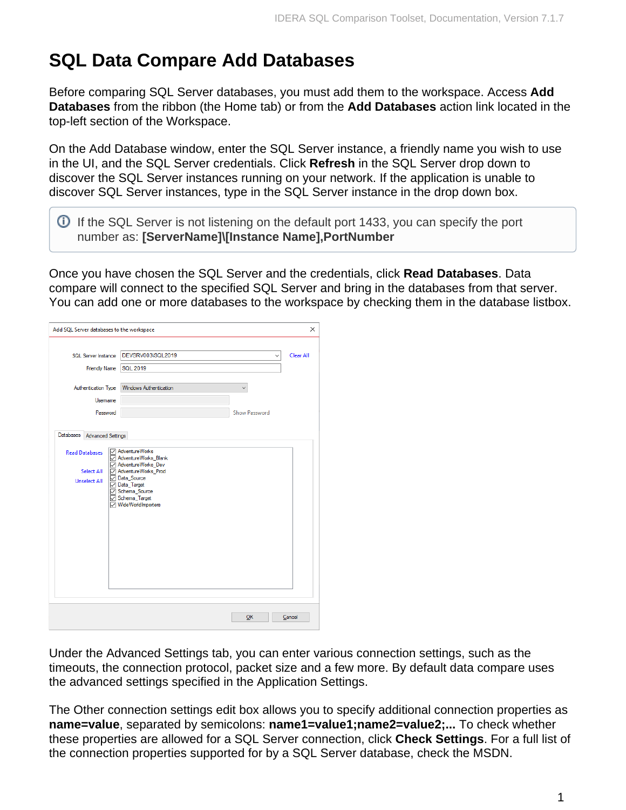## **SQL Data Compare Add Databases**

Before comparing SQL Server databases, you must add them to the workspace. Access **Add Databases** from the ribbon (the Home tab) or from the **Add Databases** action link located in the top-left section of the Workspace.

On the Add Database window, enter the SQL Server instance, a friendly name you wish to use in the UI, and the SQL Server credentials. Click **Refresh** in the SQL Server drop down to discover the SQL Server instances running on your network. If the application is unable to discover SQL Server instances, type in the SQL Server instance in the drop down box.

**If the SQL Server is not listening on the default port 1433, you can specify the port** number as: **[ServerName]\[Instance Name],PortNumber**

Once you have chosen the SQL Server and the credentials, click **Read Databases**. Data compare will connect to the specified SQL Server and bring in the databases from that server. You can add one or more databases to the workspace by checking them in the database listbox.

| Add SQL Server databases to the workspace                         |                                                                                                                                                                             |                      | ×         |
|-------------------------------------------------------------------|-----------------------------------------------------------------------------------------------------------------------------------------------------------------------------|----------------------|-----------|
| <b>SQL</b> Server Instance                                        | DEVSRV003\SQL2019                                                                                                                                                           | $\checkmark$         | Clear All |
| <b>Friendly Name</b>                                              | <b>SQL 2019</b>                                                                                                                                                             |                      |           |
| Authentication Type                                               | <b>Windows Authentication</b>                                                                                                                                               |                      |           |
| Usemame<br>Password                                               |                                                                                                                                                                             | <b>Show Password</b> |           |
| <b>Databases</b><br><b>Advanced Settings</b>                      |                                                                                                                                                                             |                      |           |
| <b>Read Databases</b><br><b>Select All</b><br><b>Unselect All</b> | AdventureWorks<br>AdventureWorks_Blank<br>AdventureWorks_Dev<br>AdventureWorks Prod<br>□ Data_Source<br>Data_Target<br>Schema_Source<br>Schema_Target<br>WideWorldImporters |                      |           |
|                                                                   |                                                                                                                                                                             | QK                   | Cancel    |

Under the Advanced Settings tab, you can enter various connection settings, such as the timeouts, the connection protocol, packet size and a few more. By default data compare uses the advanced settings specified in the Application Settings.

The Other connection settings edit box allows you to specify additional connection properties as **name=value**, separated by semicolons: **name1=value1;name2=value2;...** To check whether these properties are allowed for a SQL Server connection, click **Check Settings**. For a full list of the connection properties supported for by a SQL Server database, check the MSDN.